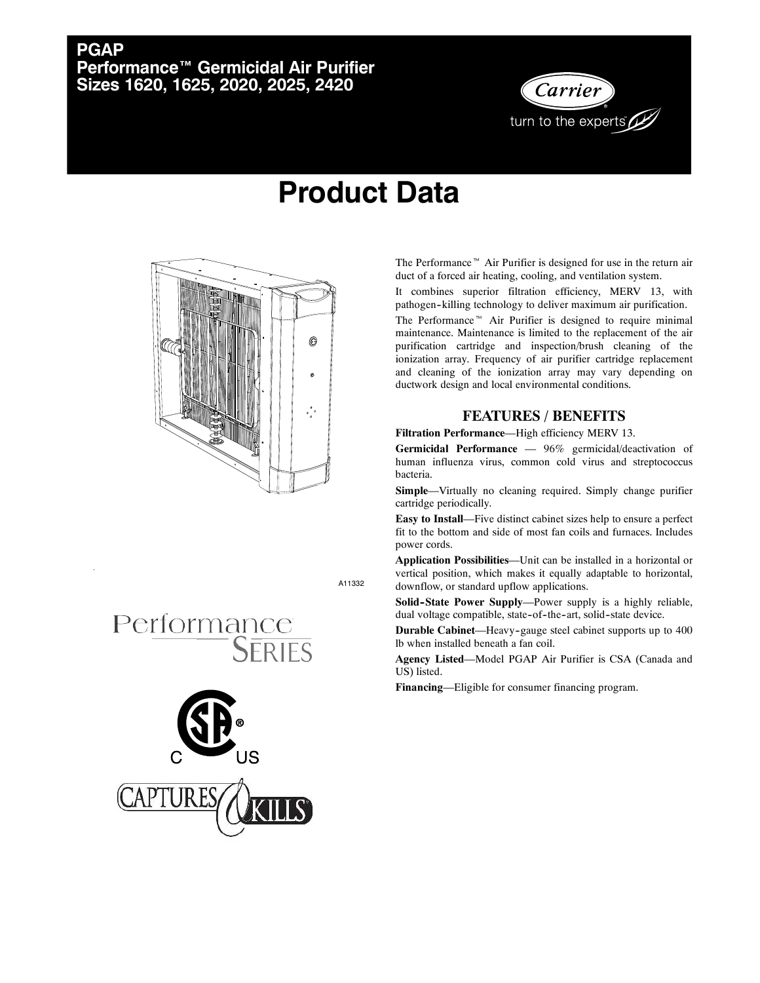## **PGAP Performance™ Germicidal Air Purifier Sizes 1620, 1625, 2020, 2025, 2420**



## **Product Data**



The Performance<sup> $M$ </sup> Air Purifier is designed for use in the return air duct of a forced air heating, cooling, and ventilation system.

It combines superior filtration efficiency, MERV 13, with pathogen--killing technology to deliver maximum air purification.

The Performance<sup> $m$ </sup> Air Purifier is designed to require minimal maintenance. Maintenance is limited to the replacement of the air purification cartridge and inspection/brush cleaning of the ionization array. Frequency of air purifier cartridge replacement and cleaning of the ionization array may vary depending on ductwork design and local environmental conditions.

## **FEATURES / BENEFITS**

**Filtration Performance**—High efficiency MERV 13.

**Germicidal Performance** — 96% germicidal/deactivation of human influenza virus, common cold virus and streptococcus bacteria.

**Simple**—Virtually no cleaning required. Simply change purifier cartridge periodically.

**Easy to Install**—Five distinct cabinet sizes help to ensure a perfect fit to the bottom and side of most fan coils and furnaces. Includes power cords.

**Application Possibilities**—Unit can be installed in a horizontal or vertical position, which makes it equally adaptable to horizontal, downflow, or standard upflow applications.

**Solid-State Power Supply—Power supply is a highly reliable,** dual voltage compatible, state-of-the-art, solid-state device.

**Durable Cabinet**—Heavy-gauge steel cabinet supports up to 400 lb when installed beneath a fan coil.

**Agency Listed**—Model PGAP Air Purifier is CSA (Canada and US) listed.

**Financing**—Eligible for consumer financing program.

A11332